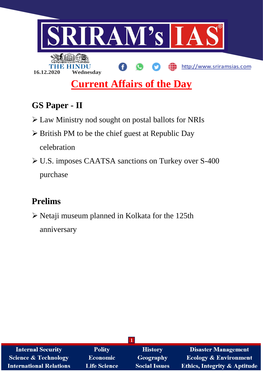

# **GS Paper - II**

- Law Ministry nod sought on postal ballots for NRIs
- $\triangleright$  British PM to be the chief guest at Republic Day celebration
- U.S. imposes CAATSA sanctions on Turkey over S-400 purchase

# **Prelims**

 $\triangleright$  Netaji museum planned in Kolkata for the 125th anniversary

| <b>Internal Security</b>        | <b>Polity</b>       | <b>History</b>       | <b>Disaster Management</b>              |
|---------------------------------|---------------------|----------------------|-----------------------------------------|
| <b>Science &amp; Technology</b> | <b>Economic</b>     | <b>Geography</b>     | <b>Ecology &amp; Environment</b>        |
| <b>International Relations</b>  | <b>Life Science</b> | <b>Social Issues</b> | <b>Ethics, Integrity &amp; Aptitude</b> |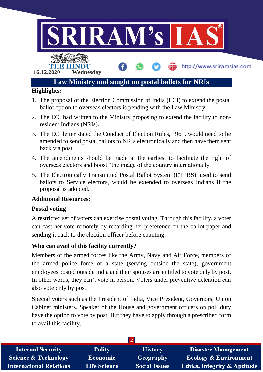

- 1. The proposal of the Election Commission of India (ECI) to extend the postal ballot option to overseas electors is pending with the Law Ministry.
- 2. The ECI had written to the Ministry proposing to extend the facility to nonresident Indians (NRIs).
- 3. The ECI letter stated the Conduct of Election Rules, 1961, would need to be amended to send postal ballots to NRIs electronically and then have them sent back via post.
- 4. The amendments should be made at the earliest to facilitate the right of overseas electors and boost "the image of the country internationally.
- 5. The Electronically Transmitted Postal Ballot System (ETPBS), used to send ballots to Service electors, would be extended to overseas Indians if the proposal is adopted.

# **Additional Resources:**

### **Postal voting**

A restricted set of voters can exercise postal voting. Through this facility, a voter can cast her vote remotely by recording her preference on the ballot paper and sending it back to the election officer before counting.

# **Who can avail of this facility currently?**

Members of the armed forces like the Army, Navy and Air Force, members of the armed police force of a state (serving outside the state), government employees posted outside India and their spouses are entitled to vote only by post. In other words, they can't vote in person. Voters under preventive detention can also vote only by post.

Special voters such as the President of India, Vice President, Governors, Union Cabinet ministers, Speaker of the House and government officers on poll duty have the option to vote by post. But they have to apply through a prescribed form to avail this facility.

| <b>Internal Security</b>        | <b>Polity</b>       | <b>History</b>       | <b>Disaster Management</b>              |
|---------------------------------|---------------------|----------------------|-----------------------------------------|
| <b>Science &amp; Technology</b> | <b>Economic</b>     | <b>Geography</b>     | <b>Ecology &amp; Environment</b>        |
| <b>International Relations</b>  | <b>Life Science</b> | <b>Social Issues</b> | <b>Ethics, Integrity &amp; Aptitude</b> |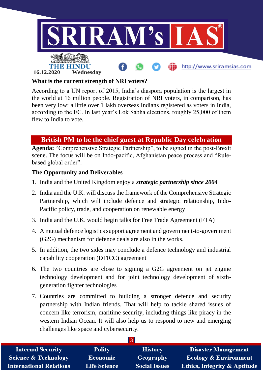

## **What is the current strength of NRI voters?**

According to a UN report of 2015, India's diaspora population is the largest in the world at 16 million people. Registration of NRI voters, in comparison, has been very low: a little over 1 lakh overseas Indians registered as voters in India, according to the EC. In last year's Lok Sabha elections, roughly 25,000 of them flew to India to vote.

# **British PM to be the chief guest at Republic Day celebration**

**Agenda:** "Comprehensive Strategic Partnership", to be signed in the post-Brexit scene. The focus will be on Indo-pacific, Afghanistan peace process and "Rulebased global order".

# **The Opportunity and Deliverables**

- 1. India and the United Kingdom enjoy a *strategic partnership since 2004*
- 2. India and the U.K. will discuss the framework of the Comprehensive Strategic Partnership, which will include defence and strategic relationship, Indo-Pacific policy, trade, and cooperation on renewable energy
- 3. India and the U.K. would begin talks for Free Trade Agreement (FTA)
- 4. A mutual defence logistics support agreement and government-to-government (G2G) mechanism for defence deals are also in the works.
- 5. In addition, the two sides may conclude a defence technology and industrial capability cooperation (DTICC) agreement
- 6. The two countries are close to signing a G2G agreement on jet engine technology development and for joint technology development of sixthgeneration fighter technologies
- 7. Countries are committed to building a stronger defence and security partnership with Indian friends. That will help to tackle shared issues of concern like terrorism, maritime security, including things like piracy in the western Indian Ocean. It will also help us to respond to new and emerging challenges like space and cybersecurity.

| <b>Internal Security</b>        | <b>Polity</b>       | <b>History</b>       | <b>Disaster Management</b>              |
|---------------------------------|---------------------|----------------------|-----------------------------------------|
| <b>Science &amp; Technology</b> | <b>Economic</b>     | Geography            | <b>Ecology &amp; Environment</b>        |
| <b>International Relations</b>  | <b>Life Science</b> | <b>Social Issues</b> | <b>Ethics, Integrity &amp; Aptitude</b> |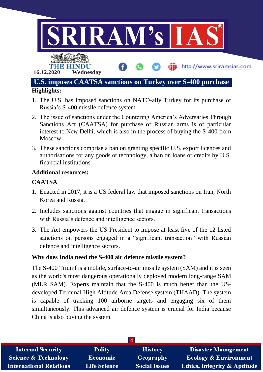

- 1. The U.S. has imposed sanctions on NATO-ally Turkey for its purchase of Russia's S-400 missile defence system
- 2. The issue of sanctions under the Countering America's Adversaries Through Sanctions Act (CAATSA) for purchase of Russian arms is of particular interest to New Delhi, which is also in the process of buying the S-400 from Moscow.
- 3. These sanctions comprise a ban on granting specific U.S. export licences and authorisations for any goods or technology, a ban on loans or credits by U.S. financial institutions.

### **Additional resources:**

# **CAATSA**

- 1. Enacted in 2017, it is a US federal law that imposed sanctions on Iran, North Korea and Russia.
- 2. Includes sanctions against countries that engage in significant transactions with Russia's defence and intelligence sectors.
- 3. The Act empowers the US President to impose at least five of the 12 listed sanctions on persons engaged in a "significant transaction" with Russian defence and intelligence sectors.

### **Why does India need the S-400 air defence missile system?**

The S-400 Triumf is a mobile, surface-to-air missile system (SAM) and it is seen as the world's most dangerous operationally deployed modern long-range SAM (MLR SAM). Experts maintain that the S-400 is much better than the USdeveloped Terminal High Altitude Area Defense system (THAAD). The system is capable of tracking 100 airborne targets and engaging six of them simultaneously. This advanced air defence system is crucial for India because China is also buying the system.

| <b>Internal Security</b>        | <b>Polity</b>       | <b>History</b>       | <b>Disaster Management</b>              |
|---------------------------------|---------------------|----------------------|-----------------------------------------|
| <b>Science &amp; Technology</b> | <b>Economic</b>     | Geography            | <b>Ecology &amp; Environment</b>        |
| <b>International Relations</b>  | <b>Life Science</b> | <b>Social Issues</b> | <b>Ethics, Integrity &amp; Aptitude</b> |